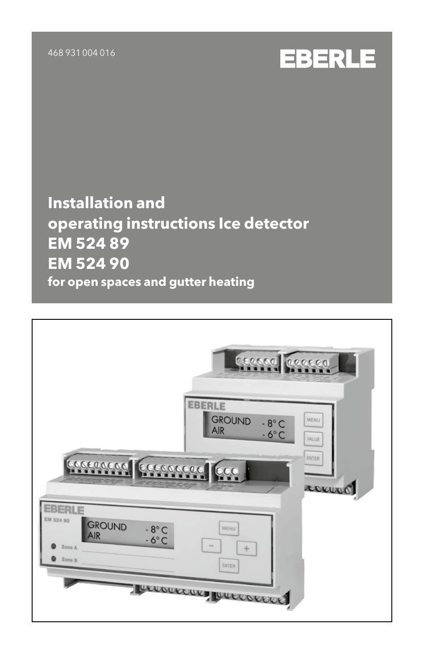# <sup>468</sup> <sup>931</sup> 004 016 K

# **Installation and operating instructions Ice detector EM 524 89 EM 524 90 for open spaces and gutter heating**

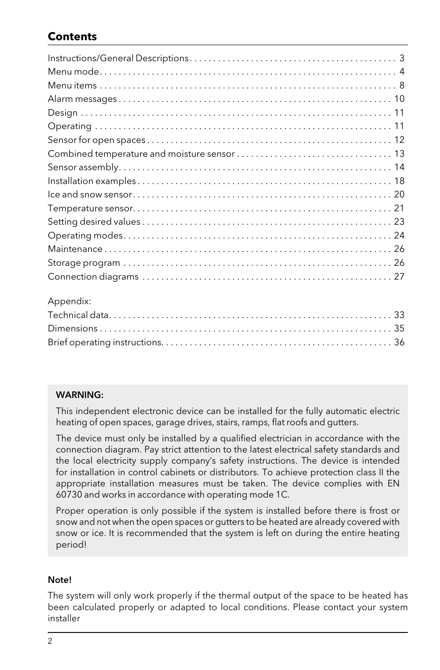# **Contents**

| Appendix: |
|-----------|
|           |
|           |
|           |

#### WARNING:

This independent electronic device can be installed for the fully automatic electric heating of open spaces, garage drives, stairs, ramps, flat roofs and gutters.

The device must only be installed by a qualified electrician in accordance with the connection diagram. Pay strict attention to the latest electrical safety standards and the local electricity supply company's safety instructions. The device is intended for installation in control cabinets or distributors. To achieve protection class II the appropriate installation measures must be taken. The device complies with EN 60730 and works in accordance with operating mode 1C.

Proper operation is only possible if the system is installed before there is frost or snow and not when the open spaces or gutters to be heated are already covered with snow or ice. It is recommended that the system is left on during the entire heating period!

#### Note!

The system will only work properly if the thermal output of the space to be heated has been calculated properly or adapted to local conditions. Please contact your system installer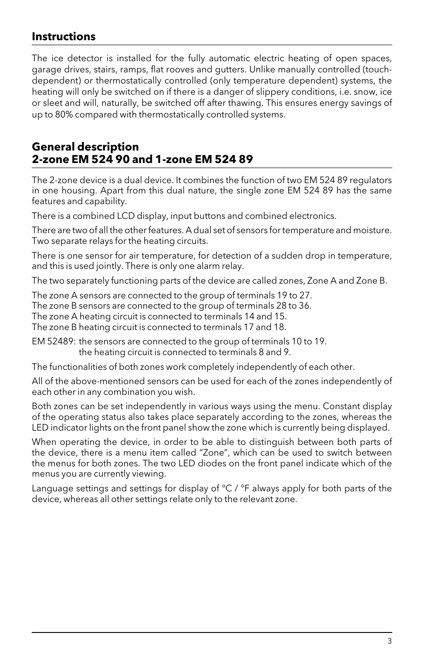# **Instructions**

The ice detector is installed for the fully automatic electric heating of open spaces, garage drives, stairs, ramps, flat rooves and gutters. Unlike manually controlled (touchdependent) or thermostatically controlled (only temperature dependent) systems, the heating will only be switched on if there is a danger of slippery conditions, i.e. snow, ice or sleet and will, naturally, be switched off after thawing. This ensures energy savings of up to 80% compared with thermostatically controlled systems.

#### **General description 2-zone EM 524 90 and 1-zone EM 524 89**

The 2-zone device is a dual device. It combines the function of two EM 524 89 regulators in one housing. Apart from this dual nature, the single zone EM 524 89 has the same features and capability.

There is a combined LCD display, input buttons and combined electronics.

There are two of all the other features. A dual set of sensors for temperature and moisture. Two separate relays for the heating circuits.

There is one sensor for air temperature, for detection of a sudden drop in temperature, and this is used jointly. There is only one alarm relay.

The two separately functioning parts of the device are called zones, Zone A and Zone B.

The zone A sensors are connected to the group of terminals 19 to 27.

The zone B sensors are connected to the group of terminals 28 to 36.

The zone A heating circuit is connected to terminals 14 and 15.

The zone B heating circuit is connected to terminals 17 and 18.

EM 52489: the sensors are connected to the group of terminals 10 to 19. the heating circuit is connected to terminals 8 and 9.

The functionalities of both zones work completely independently of each other.

All of the above-mentioned sensors can be used for each of the zones independently of each other in any combination you wish.

Both zones can be set independently in various ways using the menu. Constant display of the operating status also takes place separately according to the zones, whereas the LED indicator lights on the front panel show the zone which is currently being displayed.

When operating the device, in order to be able to distinguish between both parts of the device, there is a menu item called "Zone", which can be used to switch between the menus for both zones. The two LED diodes on the front panel indicate which of the menus you are currently viewing.

Language settings and settings for display of  ${}^{\circ}C$  /  ${}^{\circ}F$  always apply for both parts of the device, whereas all other settings relate only to the relevant zone.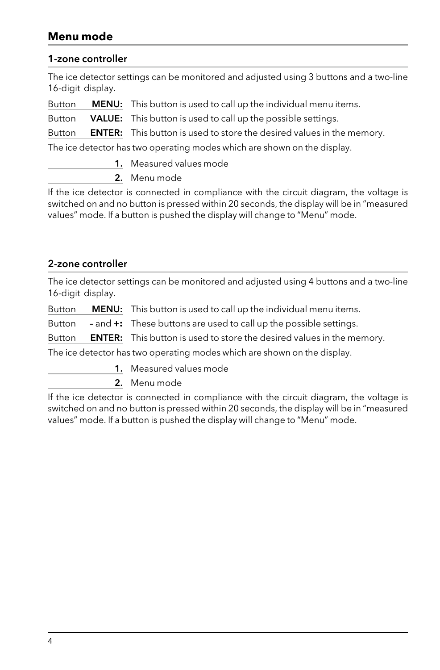# **Menu mode**

#### 1-zone controller

The ice detector settings can be monitored and adjusted using 3 buttons and a two-line 16-digit display.

Button MENU: This button is used to call up the individual menu items. Button **VALUE:** This button is used to call up the possible settings. Button **ENTER:** This button is used to store the desired values in the memory.

The ice detector has two operating modes which are shown on the display.

- 1. Measured values mode
- 2. Menu mode

If the ice detector is connected in compliance with the circuit diagram, the voltage is switched on and no button is pressed within 20 seconds, the display will be in "measured values" mode. If a button is pushed the display will change to "Menu" mode.

#### 2-zone controller

The ice detector settings can be monitored and adjusted using 4 buttons and a two-line 16-digit display.

Button MENU: This button is used to call up the individual menu items.

Button – and +**:** These buttons are used to call up the possible settings.

Button **ENTER:** This button is used to store the desired values in the memory.

The ice detector has two operating modes which are shown on the display.

1. Measured values mode

2. Menu mode

If the ice detector is connected in compliance with the circuit diagram, the voltage is switched on and no button is pressed within 20 seconds, the display will be in "measured values" mode. If a button is pushed the display will change to "Menu" mode.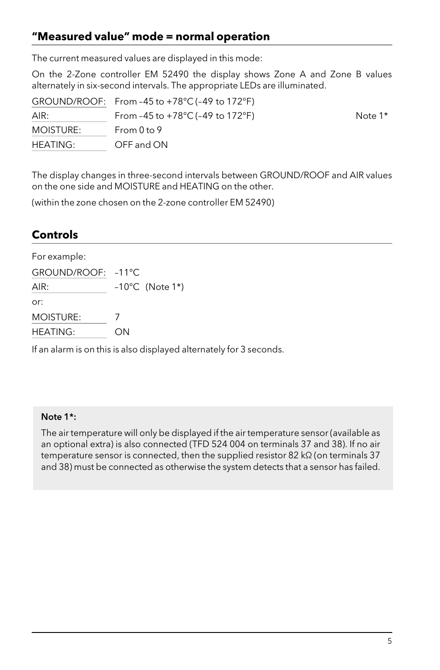# **"Measured value" mode = normal operation**

The current measured values are displayed in this mode:

On the 2-Zone controller EM 52490 the display shows Zone A and Zone B values alternately in six-second intervals. The appropriate LEDs are illuminated.

|           | $GROUND/ROOF: From -45 to +78°C (-49 to 172°F)$ |         |
|-----------|-------------------------------------------------|---------|
| AIR:      | From -45 to +78 °C (-49 to 172 °F)              | Note 1* |
| MOISTURE: | From $0$ to $9$                                 |         |
| HEATING:  | OFF and ON                                      |         |

The display changes in three-second intervals between GROUND/ROOF and AIR values on the one side and MOISTURE and HEATING on the other.

(within the zone chosen on the 2-zone controller EM 52490)

# **Controls**

| For example:       |    |                           |  |  |
|--------------------|----|---------------------------|--|--|
| GROUND/ROOF: -11°C |    |                           |  |  |
| AIR:               |    | $-10^{\circ}$ C (Note 1*) |  |  |
| or:                |    |                           |  |  |
| <b>MOISTURE:</b>   |    |                           |  |  |
| <b>HEATING:</b>    | OΝ |                           |  |  |

If an alarm is on this is also displayed alternately for 3 seconds.

#### Note 1\*:

The air temperature will only be displayed if the air temperature sensor (available as an optional extra) is also connected (TFD 524 004 on terminals 37 and 38). If no air temperature sensor is connected, then the supplied resistor 82 kΩ (on terminals 37 and 38) must be connected as otherwise the system detects that a sensor has failed.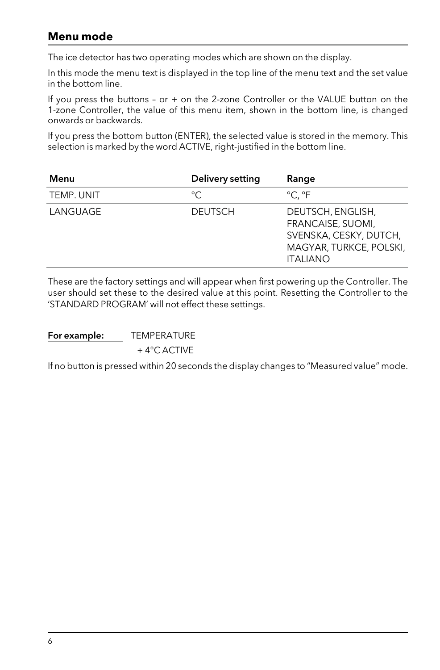# **Menu mode**

The ice detector has two operating modes which are shown on the display.

In this mode the menu text is displayed in the top line of the menu text and the set value in the bottom line.

If you press the buttons - or + on the 2-zone Controller or the VALUE button on the 1-zone Controller, the value of this menu item, shown in the bottom line, is changed onwards or backwards.

If you press the bottom button (ENTER), the selected value is stored in the memory. This selection is marked by the word ACTIVE, right-justified in the bottom line.

| Menu       | Delivery setting | Range                                                                                                          |
|------------|------------------|----------------------------------------------------------------------------------------------------------------|
| TEMP. UNIT | °C               | °C. °F                                                                                                         |
| LANGUAGE   | <b>DEUTSCH</b>   | DEUTSCH, ENGLISH,<br>FRANCAISE, SUOMI,<br>SVENSKA, CESKY, DUTCH,<br>MAGYAR, TURKCE, POLSKI,<br><b>ITALIANO</b> |

These are the factory settings and will appear when first powering up the Controller. The user should set these to the desired value at this point. Resetting the Controller to the 'STANDARD PROGRAM' will not effect these settings.

For example: TEMPERATURE + 4°C ACTIVE

If no button is pressed within 20 seconds the display changes to "Measured value" mode.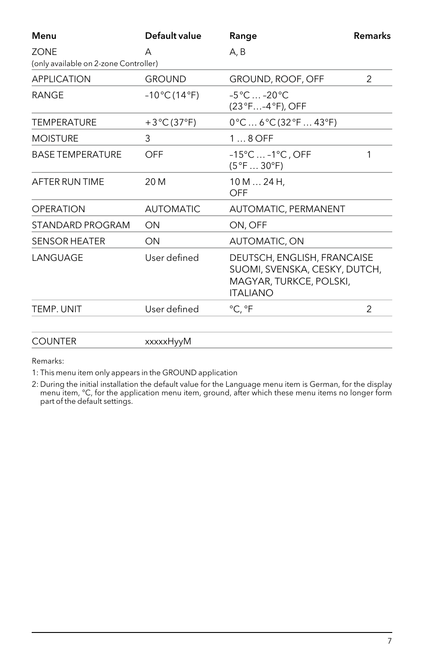| Menu                                                 | Default value                     | Range                                                                                                      | <b>Remarks</b> |
|------------------------------------------------------|-----------------------------------|------------------------------------------------------------------------------------------------------------|----------------|
| <b>ZONE</b><br>(only available on 2-zone Controller) | А                                 | A, B                                                                                                       |                |
| <b>APPLICATION</b>                                   | <b>GROUND</b>                     | <b>GROUND, ROOF, OFF</b>                                                                                   | 2              |
| <b>RANGE</b>                                         | $-10^{\circ}$ C (14 $^{\circ}$ F) | $-5^{\circ}$ C $-20^{\circ}$ C<br>$(23^{\circ}F - 4^{\circ}F)$ , OFF                                       |                |
| <b>TEMPERATURE</b>                                   | $+3^{\circ}C(37^{\circ}F)$        | $0^{\circ}$ C  6 °C (32 °F  43 °F)                                                                         |                |
| <b>MOISTURE</b>                                      | 3                                 | $18$ OFF                                                                                                   |                |
| <b>BASE TEMPERATURE</b>                              | OFF                               | $-15^{\circ}$ C $-1^{\circ}$ C, OFF<br>$(5^{\circ}F30^{\circ}F)$                                           | 1              |
| AFTER RUN TIME                                       | 20 M                              | 10 M 24 H,<br>OFF                                                                                          |                |
| <b>OPERATION</b>                                     | <b>AUTOMATIC</b>                  | AUTOMATIC, PERMANENT                                                                                       |                |
| STANDARD PROGRAM                                     | ON                                | ON, OFF                                                                                                    |                |
| <b>SENSOR HEATER</b>                                 | ON                                | AUTOMATIC, ON                                                                                              |                |
| LANGUAGE                                             | User defined                      | DEUTSCH, ENGLISH, FRANCAISE<br>SUOMI, SVENSKA, CESKY, DUTCH,<br>MAGYAR, TURKCE, POLSKI,<br><b>ITALIANO</b> |                |
| TEMP, UNIT                                           | User defined                      | °C, °F                                                                                                     | 2              |
| <b>COUNTER</b>                                       | xxxxxHyyM                         |                                                                                                            |                |

Remarks:

1: This menu item only appears in the GROUND application

2: During the initial installation the default value for the Language menu item is German, for the display<br>menu item, °C, for the application menu item, ground, after which these menu items no longer form<br>part of the defau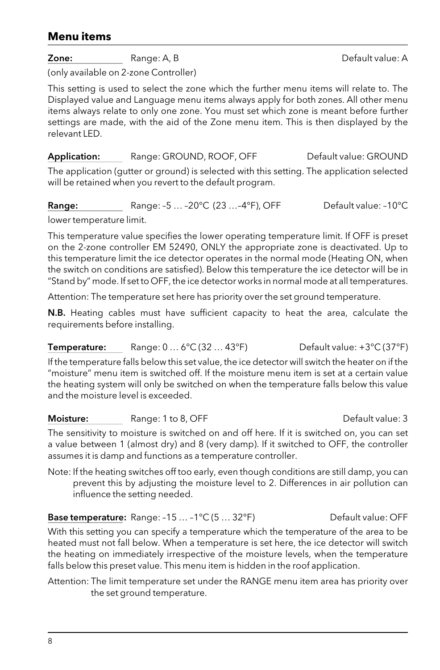#### **Menu items**

**Zone:** Range: A, B **Constanting Constanting Constanting Constanting Constanting Constanting Constanting Constanting Constanting Constanting Constanting Constanting Constanting Constanting Constanting Constanting Constanti** 

(only available on 2-zone Controller)

This setting is used to select the zone which the further menu items will relate to. The Displayed value and Language menu items always apply for both zones. All other menu items always relate to only one zone. You must set which zone is meant before further settings are made, with the aid of the Zone menu item. This is then displayed by the relevant LED.

Application: Range: GROUND, ROOF, OFF Default value: GROUND

The application (gutter or ground) is selected with this setting. The application selected will be retained when you revert to the default program.

| Range: | Range: -5  -20°C (23 -4°F), OFF | Default value: -10°C |
|--------|---------------------------------|----------------------|
|--------|---------------------------------|----------------------|

lower temperature limit.

This temperature value specifies the lower operating temperature limit. If OFF is preset on the 2-zone controller EM 52490, ONLY the appropriate zone is deactivated. Up to this temperature limit the ice detector operates in the normal mode (Heating ON, when the switch on conditions are satisfied). Below this temperature the ice detector will be in "Stand by" mode. If set to OFF, the ice detector works in normal mode at all temperatures.

Attention: The temperature set here has priority over the set ground temperature.

N.B. Heating cables must have sufficient capacity to heat the area, calculate the requirements before installing.

#### **Temperature:** Range:  $0...6^{\circ}C(32...43^{\circ}F)$  Default value:  $+3^{\circ}C(37^{\circ}F)$

If the temperature falls below this set value, the ice detector will switch the heater on if the "moisture" menu item is switched off. If the moisture menu item is set at a certain value the heating system will only be switched on when the temperature falls below this value and the moisture level is exceeded.

Moisture: Range: 1 to 8, OFF CHANGE Default value: 3

The sensitivity to moisture is switched on and off here. If it is switched on, you can set a value between 1 (almost dry) and 8 (very damp). If it switched to OFF, the controller assumes it is damp and functions as a temperature controller.

Note: If the heating switches off too early, even though conditions are still damp, you can prevent this by adjusting the moisture level to 2. Differences in air pollution can influence the setting needed.

Base temperature: Range: -15 ... -1°C (5 ... 32°F) Default value: OFF

With this setting you can specify a temperature which the temperature of the area to be heated must not fall below. When a temperature is set here, the ice detector will switch the heating on immediately irrespective of the moisture levels, when the temperature falls below this preset value. This menu item is hidden in the roof application.

Attention: The limit temperature set under the RANGE menu item area has priority over the set ground temperature.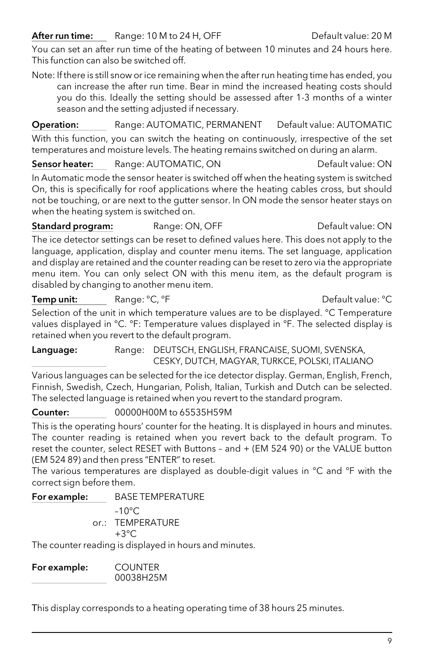#### After run time: Range: 10 M to 24 H, OFF Default value: 20 M

You can set an after run time of the heating of between 10 minutes and 24 hours here. This function can also be switched off.

Note: If there is still snow or ice remaining when the after run heating time has ended, you can increase the after run time. Bear in mind the increased heating costs should you do this. Ideally the setting should be assessed after 1-3 months of a winter season and the setting adjusted if necessary.

Operation: Range: AUTOMATIC, PERMANENT Default value: AUTOMATIC With this function, you can switch the heating on continuously, irrespective of the set temperatures and moisture levels. The heating remains switched on during an alarm.

Sensor heater: Range: AUTOMATIC, ON Default value: ON

In Automatic mode the sensor heater is switched off when the heating system is switched On, this is specifically for roof applications where the heating cables cross, but should not be touching, or are next to the gutter sensor. In ON mode the sensor heater stays on when the heating system is switched on.

#### **Standard program:** Range: ON, OFF **Default value: ON**

The ice detector settings can be reset to defined values here. This does not apply to the language, application, display and counter menu items. The set language, application and display are retained and the counter reading can be reset to zero via the appropriate menu item. You can only select ON with this menu item, as the default program is disabled by changing to another menu item.

Temp unit: Range: °C, °F C, performance of the Default value: °C

Selection of the unit in which temperature values are to be displayed. °C Temperature values displayed in °C. °F: Temperature values displayed in °F. The selected display is retained when you revert to the default program.

Language: Range: DEUTSCH, ENGLISH, FRANCAISE, SUOMI, SVENSKA, Cesky, Dutch, Magyar, TUrkce, Polski, Italiano

Various languages can be selected for the ice detector display. German, English, French, Finnish, Swedish, Czech, Hungarian, Polish, Italian, Turkish and Dutch can be selected. The selected language is retained when you revert to the standard program.

#### Counter: 00000H00M to 65535H59M

This is the operating hours' counter for the heating. It is displayed in hours and minutes. The counter reading is retained when you revert back to the default program. To reset the counter, select RESET with Buttons – and + (EM 524 90) or the VALUE button (EM 524 89) and then press "ENTER" to reset.

The various temperatures are displayed as double-digit values in °C and °F with the correct sign before them.

For example: BASE TEMPERATURE

| $-10^{\circ}$ C   |
|-------------------|
| $- - - -$<br>____ |

or.: TEMPERATURE  $+3^{\circ}C$ 

The counter reading is displayed in hours and minutes.

For example: COUNTER 00038H25M

This display corresponds to a heating operating time of 38 hours 25 minutes.

9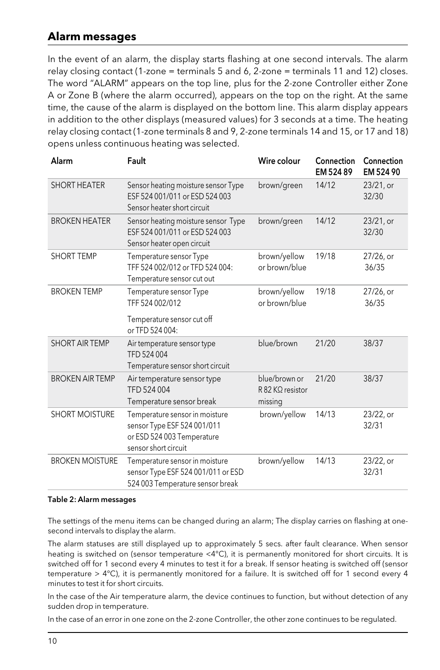#### **Alarm messages**

In the event of an alarm, the display starts flashing at one second intervals. The alarm relay closing contact (1-zone = terminals 5 and 6, 2-zone = terminals 11 and 12) closes. The word "ALARM" appears on the top line, plus for the 2-zone Controller either Zone A or Zone B (where the alarm occurred), appears on the top on the right. At the same time, the cause of the alarm is displayed on the bottom line. This alarm display appears in addition to the other displays (measured values) for 3 seconds at a time. The heating relay closing contact (1-zone terminals 8 and 9, 2-zone terminals 14 and 15, or 17 and 18) opens unless continuous heating was selected.

| Alarm                  | Fault                                                                                                               | Wire colour                                  | Connection<br>EM 524 89 | Connection<br>EM 524 90 |
|------------------------|---------------------------------------------------------------------------------------------------------------------|----------------------------------------------|-------------------------|-------------------------|
| <b>SHORT HEATER</b>    | Sensor heating moisture sensor Type<br>ESF 524 001/011 or ESD 524 003<br>Sensor heater short circuit                | brown/green                                  | 14/12                   | 23/21, or<br>32/30      |
| <b>BROKEN HEATER</b>   | Sensor heating moisture sensor Type<br>ESF 524 001/011 or ESD 524 003<br>Sensor heater open circuit                 | brown/green                                  | 14/12                   | 23/21, or<br>32/30      |
| <b>SHORT TEMP</b>      | Temperature sensor Type<br>TFF 524 002/012 or TFD 524 004:<br>Temperature sensor cut out                            | brown/yellow<br>or brown/blue                | 19/18                   | 27/26, or<br>36/35      |
| <b>BROKEN TEMP</b>     | Temperature sensor Type<br>TFF 524 002/012<br>Temperature sensor cut off<br>or TFD 524 004:                         | brown/yellow<br>or brown/blue                | 19/18                   | 27/26, or<br>36/35      |
| <b>SHORT AIR TEMP</b>  | Air temperature sensor type<br>TFD 524 004<br>Temperature sensor short circuit                                      | blue/brown                                   | 21/20                   | 38/37                   |
| <b>BROKEN AIR TEMP</b> | Air temperature sensor type<br>TFD 524 004<br>Temperature sensor break                                              | blue/brown or<br>R 82 KQ resistor<br>missing | 21/20                   | 38/37                   |
| <b>SHORT MOISTURE</b>  | Temperature sensor in moisture<br>sensor Type ESF 524 001/011<br>or ESD 524 003 Temperature<br>sensor short circuit | brown/yellow                                 | 14/13                   | 23/22, or<br>32/31      |
| <b>BROKEN MOISTURE</b> | Temperature sensor in moisture<br>sensor Type ESF 524 001/011 or ESD<br>524 003 Temperature sensor break            | brown/yellow                                 | 14/13                   | 23/22, or<br>32/31      |

#### Table 2: Alarm messages

The settings of the menu items can be changed during an alarm; The display carries on flashing at onesecond intervals to display the alarm.

The alarm statuses are still displayed up to approximately 5 secs. after fault clearance. When sensor heating is switched on (sensor temperature <4°C), it is permanently monitored for short circuits. It is switched off for 1 second every 4 minutes to test it for a break. If sensor heating is switched off (sensor temperature > 4°C), it is permanently monitored for a failure. It is switched off for 1 second every 4 minutes to test it for short circuits.

In the case of the Air temperature alarm, the device continues to function, but without detection of any sudden drop in temperature.

In the case of an error in one zone on the 2-zone Controller, the other zone continues to be regulated.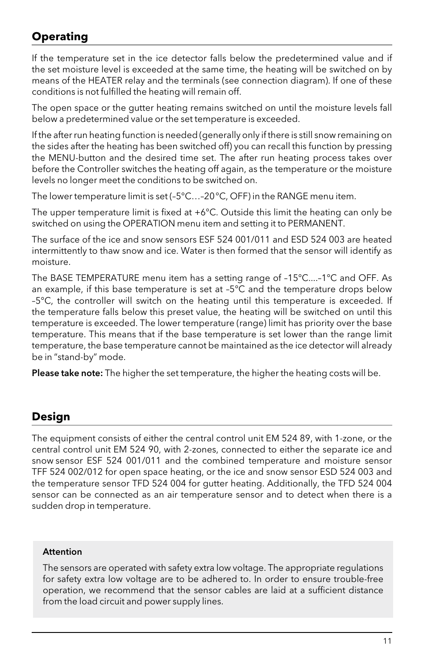# **Operating**

If the temperature set in the ice detector falls below the predetermined value and if the set moisture level is exceeded at the same time, the heating will be switched on by means of the HEATER relay and the terminals (see connection diagram). If one of these conditions is not fulfilled the heating will remain off.

The open space or the gutter heating remains switched on until the moisture levels fall below a predetermined value or the set temperature is exceeded.

If the after run heating function is needed (generally only if there is still snow remaining on the sides after the heating has been switched off) you can recall this function by pressing the MENU-button and the desired time set. The after run heating process takes over before the Controller switches the heating off again, as the temperature or the moisture levels no longer meet the conditions to be switched on.

The lower temperature limit is set (–5°C…–20°C, OFF) in the RANGE menu item.

The upper temperature limit is fixed at  $+6^{\circ}$ C. Outside this limit the heating can only be switched on using the OPERATION menu item and setting it to PERMANENT.

The surface of the ice and snow sensors ESF 524 001/011 and ESD 524 003 are heated intermittently to thaw snow and ice. Water is then formed that the sensor will identify as moisture.

The BASE TEMPERATURE menu item has a setting range of –15°C....–1°C and OFF. As an example, if this base temperature is set at –5°C and the temperature drops below –5°C, the controller will switch on the heating until this temperature is exceeded. If the temperature falls below this preset value, the heating will be switched on until this temperature is exceeded. The lower temperature (range) limit has priority over the base temperature. This means that if the base temperature is set lower than the range limit temperature, the base temperature cannot be maintained as the ice detector will already be in "stand-by" mode.

Please take note: The higher the set temperature, the higher the heating costs will be.

# **Design**

The equipment consists of either the central control unit EM 524 89, with 1-zone, or the central control unit EM 524 90, with 2-zones, connected to either the separate ice and snow sensor ESF 524 001/011 and the combined temperature and moisture sensor TFF 524 002/012 for open space heating, or the ice and snow sensor ESD 524 003 and the temperature sensor TFD 524 004 for gutter heating. Additionally, the TFD 524 004 sensor can be connected as an air temperature sensor and to detect when there is a sudden drop in temperature.

#### Attention

The sensors are operated with safety extra low voltage. The appropriate regulations for safety extra low voltage are to be adhered to. In order to ensure trouble-free operation, we recommend that the sensor cables are laid at a sufficient distance from the load circuit and power supply lines.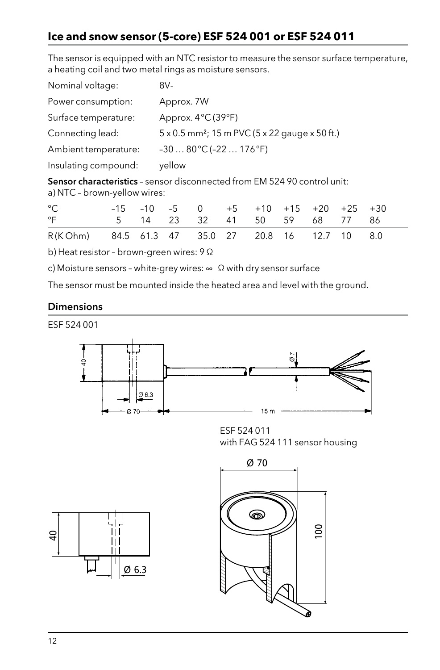# **Ice and snow sensor (5-core) ESF 524 001 or ESF 524 011**

The sensor is equipped with an NTC resistor to measure the sensor surface temperature, a heating coil and two metal rings as moisture sensors.

| Nominal voltage:     | 8V-                                                        |
|----------------------|------------------------------------------------------------|
| Power consumption:   | Approx. 7W                                                 |
| Surface temperature: | Approx. $4^{\circ}C(39^{\circ}F)$                          |
| Connecting lead:     | 5 x 0.5 mm <sup>2</sup> ; 15 m PVC (5 x 22 gauge x 50 ft.) |
| Ambient temperature: | $-3080^{\circ}$ C ( $-22176^{\circ}$ F)                    |
| Insulating compound: | yellow                                                     |

Sensor characteristics - sensor disconnected from EM 524 90 control unit: a) NTC – brown-yellow wires:

| °C<br>$^{\circ}$ F                               |  | $-15$ $-10$ $-5$ 0 $+5$ $+10$ $+15$ $+20$ $+25$ $+30$<br>5 14 23 32 41 50 59 68 77 86 |  |  |  |  |
|--------------------------------------------------|--|---------------------------------------------------------------------------------------|--|--|--|--|
| R(KOhm) 84.5 61.3 47 35.0 27 20.8 16 12.7 10 8.0 |  |                                                                                       |  |  |  |  |

b) Heat resistor – brown-green wires: 9 Ω

c) Moisture sensors – white-grey wires: ∞ Ω with dry sensor surface

The sensor must be mounted inside the heated area and level with the ground.

#### **Dimensions**

ESF 524 001



ESF 524 011 with FAG 524 111 sensor housing



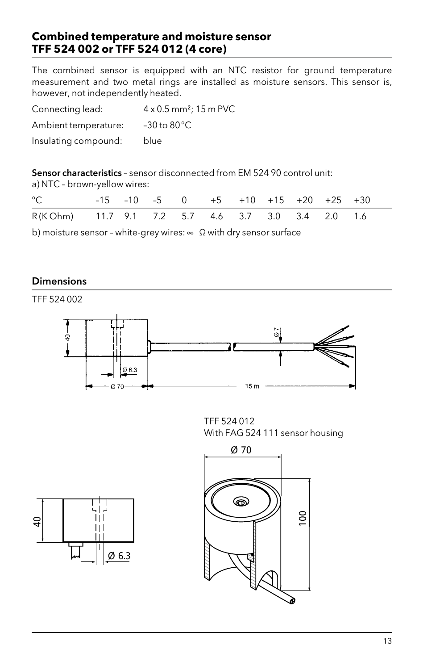#### **Combined temperature and moisture sensor TFF 524 002 or TFF 524 012 (4 core)**

The combined sensor is equipped with an NTC resistor for ground temperature measurement and two metal rings are installed as moisture sensors. This sensor is, however, not independently heated.

| Connecting lead:     | $4 \times 0.5$ mm <sup>2</sup> ; 15 m PVC |
|----------------------|-------------------------------------------|
| Ambient temperature: | $-30$ to $80^{\circ}$ C                   |
| Insulating compound: | blue                                      |

Sensor characteristics - sensor disconnected from EM 524 90 control unit:

a) NTC – brown-yellow wires:

| $^{\circ}$ C and $^{\circ}$                      |  |  | $-15$ $-10$ $-5$ 0 $+5$ $+10$ $+15$ $+20$ $+25$ $+30$ |  |  |
|--------------------------------------------------|--|--|-------------------------------------------------------|--|--|
| R(KOhm) 11.7 9.1 7.2 5.7 4.6 3.7 3.0 3.4 2.0 1.6 |  |  |                                                       |  |  |

b) moisture sensor – white-grey wires: ∞ Ω with dry sensor surface

#### **Dimensions**

TFF 524 002



TFF 524 012 With FAG 524 111 sensor housing



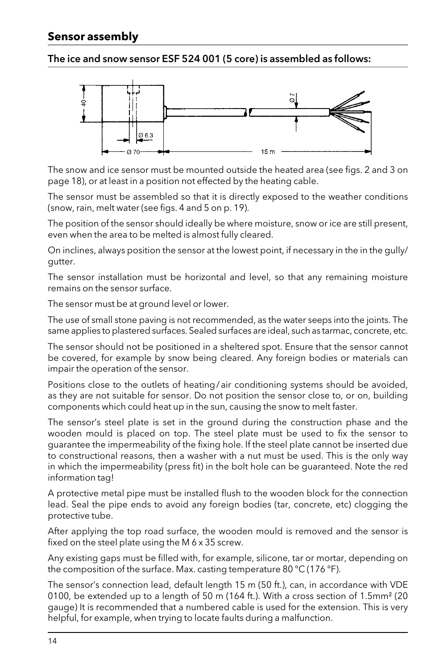#### The ice and snow sensor ESF 524 001 (5 core) is assembled as follows:



The snow and ice sensor must be mounted outside the heated area (see figs. 2 and 3 on page 18), or at least in a position not effected by the heating cable.

The sensor must be assembled so that it is directly exposed to the weather conditions (snow, rain, melt water (see figs. 4 and 5 on p. 19).

The position of the sensor should ideally be where moisture, snow or ice are still present, even when the area to be melted is almost fully cleared.

On inclines, always position the sensor at the lowest point, if necessary in the in the gully/ gutter.

The sensor installation must be horizontal and level, so that any remaining moisture remains on the sensor surface.

The sensor must be at ground level or lower.

The use of small stone paving is not recommended, as the water seeps into the joints. The same applies to plastered surfaces. Sealed surfaces are ideal, such as tarmac, concrete, etc.

The sensor should not be positioned in a sheltered spot. Ensure that the sensor cannot be covered, for example by snow being cleared. Any foreign bodies or materials can impair the operation of the sensor.

Positions close to the outlets of heating/air conditioning systems should be avoided, as they are not suitable for sensor. Do not position the sensor close to, or on, building components which could heat up in the sun, causing the snow to melt faster.

The sensor's steel plate is set in the ground during the construction phase and the wooden mould is placed on top. The steel plate must be used to fix the sensor to guarantee the impermeability of the fixing hole. If the steel plate cannot be inserted due to constructional reasons, then a washer with a nut must be used. This is the only way in which the impermeability (press fit) in the bolt hole can be guaranteed. Note the red information tag!

A protective metal pipe must be installed flush to the wooden block for the connection lead. Seal the pipe ends to avoid any foreign bodies (tar, concrete, etc) clogging the protective tube.

After applying the top road surface, the wooden mould is removed and the sensor is fixed on the steel plate using the M 6 x 35 screw.

Any existing gaps must be filled with, for example, silicone, tar or mortar, depending on the composition of the surface. Max. casting temperature 80 °C (176 °F).

The sensor's connection lead, default length 15 m (50 ft.), can, in accordance with VDE 0100, be extended up to a length of 50 m (164 ft.). With a cross section of  $1.5$ mm<sup>2</sup> (20 gauge) It is recommended that a numbered cable is used for the extension. This is very helpful, for example, when trying to locate faults during a malfunction.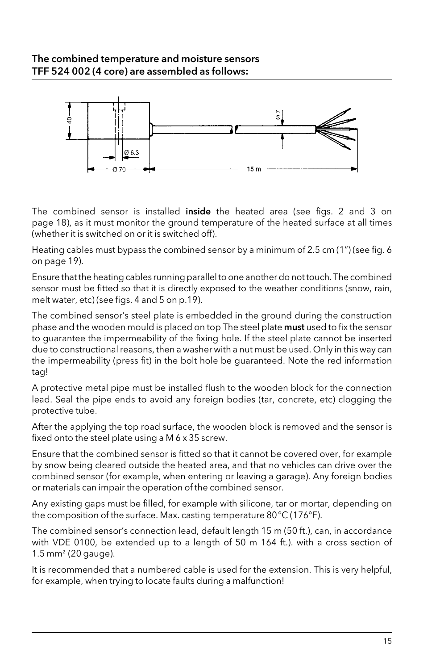

The combined sensor is installed inside the heated area (see figs. 2 and 3 on page 18), as it must monitor the ground temperature of the heated surface at all times (whether it is switched on or it is switched off).

Heating cables must bypass the combined sensor by a minimum of 2.5 cm (1") (see fig. 6 on page 19).

Ensure that the heating cables running parallel to one another do not touch. The combined sensor must be fitted so that it is directly exposed to the weather conditions (snow, rain, melt water, etc) (see figs. 4 and 5 on p.19).

The combined sensor's steel plate is embedded in the ground during the construction phase and the wooden mould is placed on top The steel plate must used to fix the sensor to guarantee the impermeability of the fixing hole. If the steel plate cannot be inserted due to constructional reasons, then a washer with a nut must be used. Only in this way can the impermeability (press fit) in the bolt hole be guaranteed. Note the red information tag!

A protective metal pipe must be installed flush to the wooden block for the connection lead. Seal the pipe ends to avoid any foreign bodies (tar, concrete, etc) clogging the protective tube.

After the applying the top road surface, the wooden block is removed and the sensor is fixed onto the steel plate using a M 6 x 35 screw.

Ensure that the combined sensor is fitted so that it cannot be covered over, for example by snow being cleared outside the heated area, and that no vehicles can drive over the combined sensor (for example, when entering or leaving a garage). Any foreign bodies or materials can impair the operation of the combined sensor.

Any existing gaps must be filled, for example with silicone, tar or mortar, depending on the composition of the surface. Max. casting temperature 80°C (176°F).

The combined sensor's connection lead, default length 15 m (50 ft.), can, in accordance with VDE 0100, be extended up to a length of 50 m 164 ft.). with a cross section of  $1.5$  mm<sup>2</sup> (20 gauge).

It is recommended that a numbered cable is used for the extension. This is very helpful, for example, when trying to locate faults during a malfunction!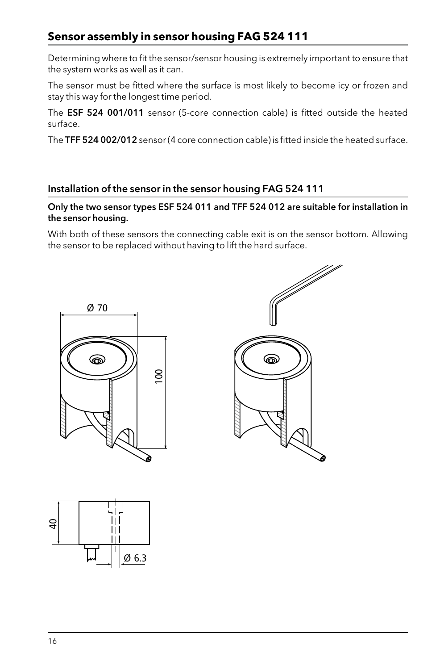# **Sensor assembly in sensor housing FAG 524 111**

Determining where to fit the sensor/sensor housing is extremely important to ensure that the system works as well as it can.

The sensor must be fitted where the surface is most likely to become icy or frozen and stay this way for the longest time period.

The ESF 524 001/011 sensor (5-core connection cable) is fitted outside the heated surface.

The TFF 524 002/012 sensor (4 core connection cable) is fitted inside the heated surface.

#### Installation of the sensor in the sensor housing FAG 524 111

Only the two sensor types ESF 524 011 and TFF 524 012 are suitable for installation in the sensor housing.

With both of these sensors the connecting cable exit is on the sensor bottom. Allowing the sensor to be replaced without having to lift the hard surface.





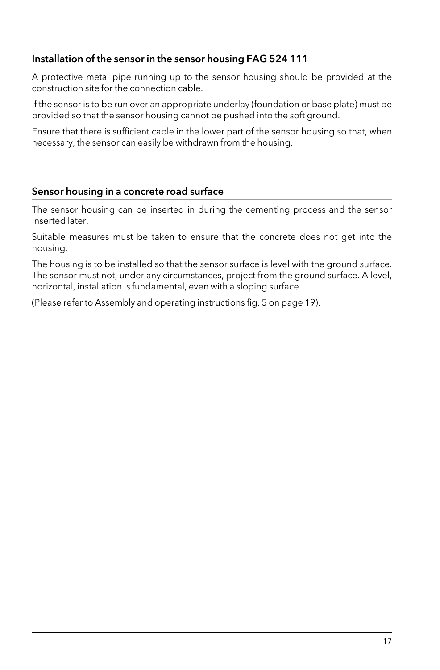#### Installation of the sensor in the sensor housing FAG 524 111

A protective metal pipe running up to the sensor housing should be provided at the construction site for the connection cable.

If the sensor is to be run over an appropriate underlay (foundation or base plate) must be provided so that the sensor housing cannot be pushed into the soft ground.

Ensure that there is sufficient cable in the lower part of the sensor housing so that, when necessary, the sensor can easily be withdrawn from the housing.

#### Sensor housing in a concrete road surface

The sensor housing can be inserted in during the cementing process and the sensor inserted later.

Suitable measures must be taken to ensure that the concrete does not get into the housing.

The housing is to be installed so that the sensor surface is level with the ground surface. The sensor must not, under any circumstances, project from the ground surface. A level, horizontal, installation is fundamental, even with a sloping surface.

(Please refer to Assembly and operating instructions fig. 5 on page 19).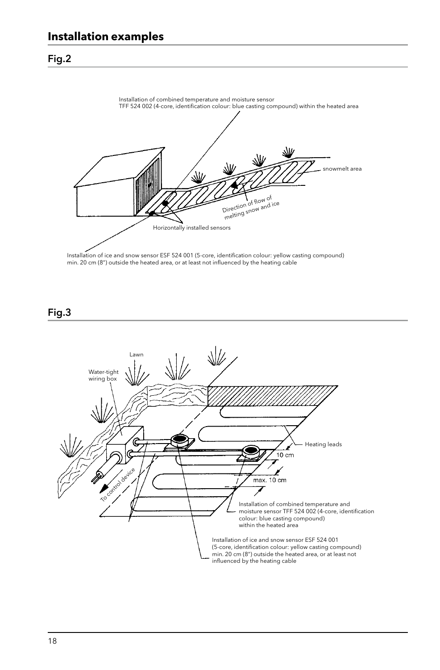#### Fig.2



Installation of ice and snow sensor ESF 524 001 (5-core, identification colour: yellow casting compound) min. 20 cm (8") outside the heated area, or at least not influenced by the heating cable

#### Fig.3

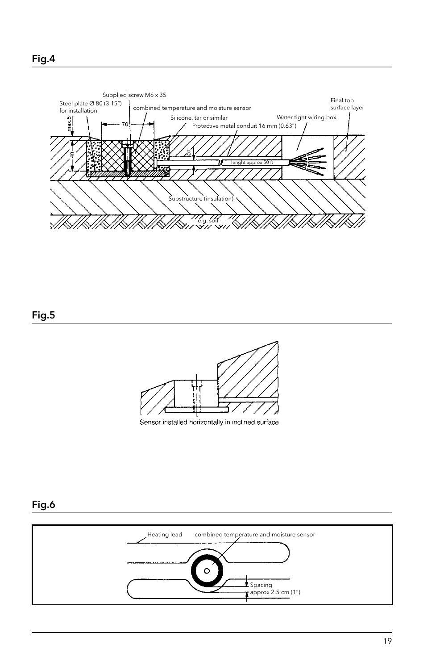

## Fig.5



Sensor installed horizontally in inclined surface

# Fig.6

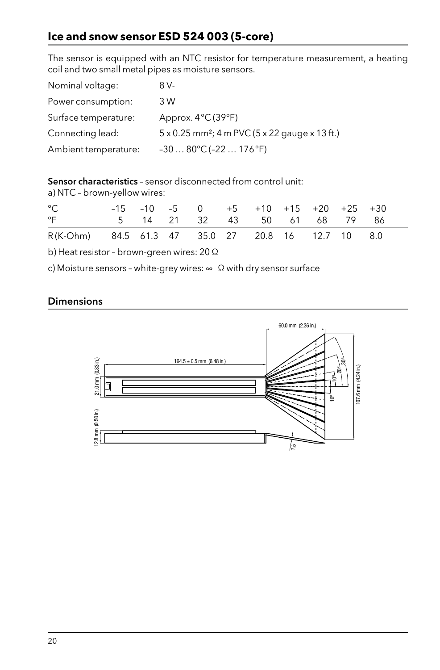# **Ice and snow sensor ESD 524 003 (5-core)**

The sensor is equipped with an NTC resistor for temperature measurement, a heating coil and two small metal pipes as moisture sensors.

| Nominal voltage:     | 8 V-                                                                      |
|----------------------|---------------------------------------------------------------------------|
| Power consumption:   | 3 W                                                                       |
| Surface temperature: | Approx. $4^{\circ}C(39^{\circ}F)$                                         |
| Connecting lead:     | $5 \times 0.25$ mm <sup>2</sup> ; 4 m PVC ( $5 \times 22$ gauge x 13 ft.) |
| Ambient temperature: | $-3080^{\circ}$ C ( $-22176^{\circ}$ F)                                   |

Sensor characteristics - sensor disconnected from control unit:

a) NTC – brown-yellow wires:

| °C<br>$^{\circ}$ F                                |  | $-15$ $-10$ $-5$ 0 $+5$ $+10$ $+15$ $+20$ $+25$ $+30$<br>5 14 21 32 43 50 61 68 79 86 |  |  |  |  |
|---------------------------------------------------|--|---------------------------------------------------------------------------------------|--|--|--|--|
| R(K-Ohm) 84.5 61.3 47 35.0 27 20.8 16 12.7 10 8.0 |  |                                                                                       |  |  |  |  |

b) Heat resistor – brown-green wires: 20 Ω

c) Moisture sensors – white-grey wires: ∞ Ω with dry sensor surface

#### Dimensions

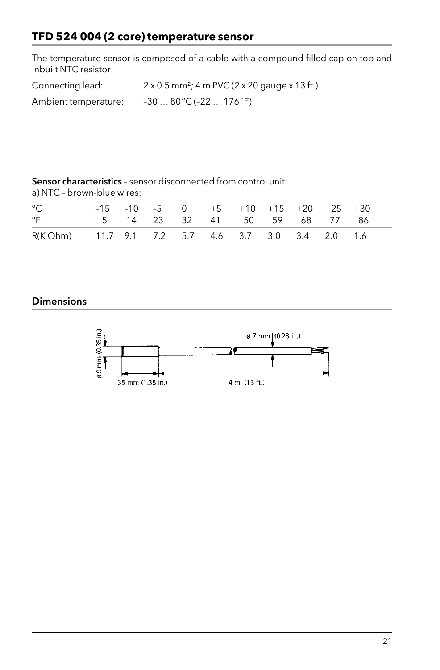# **TFD 524 004 (2 core) temperature sensor**

The temperature sensor is composed of a cable with a compound-filled cap on top and inbuilt NTC resistor.

| Connecting lead:     | $2 \times 0.5$ mm <sup>2</sup> ; 4 m PVC ( $2 \times 20$ gauge $\times$ 13 ft.) |
|----------------------|---------------------------------------------------------------------------------|
| Ambient temperature: | $-3080^{\circ}$ C ( $-22176^{\circ}$ F)                                         |

Sensor characteristics - sensor disconnected from control unit:

a) NTC – brown-blue wires:

| $^{\circ}$ C.<br>$^{\circ}$ F                    |  |  | $-15$ $-10$ $-5$ 0 $+5$ $+10$ $+15$ $+20$ $+25$ $+30$<br>5 14 23 32 41 50 59 68 77 86 |  |  |  |
|--------------------------------------------------|--|--|---------------------------------------------------------------------------------------|--|--|--|
| R(KOhm) 11.7 9.1 7.2 5.7 4.6 3.7 3.0 3.4 2.0 1.6 |  |  |                                                                                       |  |  |  |

#### Dimensions

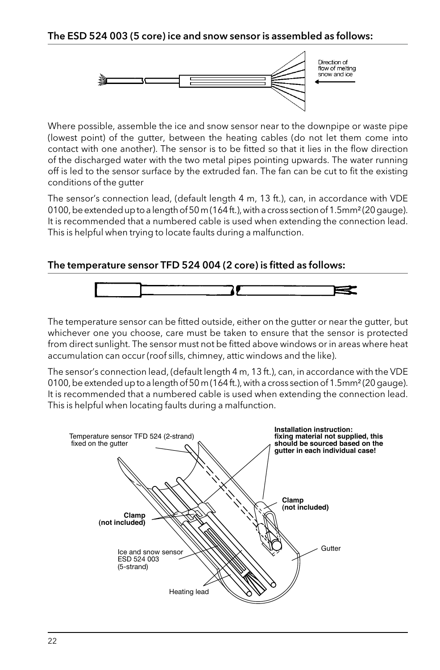

Where possible, assemble the ice and snow sensor near to the downpipe or waste pipe (lowest point) of the gutter, between the heating cables (do not let them come into contact with one another). The sensor is to be fitted so that it lies in the flow direction of the discharged water with the two metal pipes pointing upwards. The water running off is led to the sensor surface by the extruded fan. The fan can be cut to fit the existing conditions of the gutter

The sensor's connection lead, (default length 4 m, 13 ft.), can, in accordance with VDE 0100, be extended up to a length of 50 m (164 ft.), with a cross section of 1.5mm<sup>2</sup> (20 gauge). It is recommended that a numbered cable is used when extending the connection lead. This is helpful when trying to locate faults during a malfunction.

#### The temperature sensor TFD 524 004 (2 core) is fitted as follows:



The temperature sensor can be fitted outside, either on the gutter or near the gutter, but whichever one you choose, care must be taken to ensure that the sensor is protected from direct sunlight. The sensor must not be fitted above windows or in areas where heat accumulation can occur (roof sills, chimney, attic windows and the like).

The sensor's connection lead, (default length 4 m, 13 ft.), can, in accordance with the VDE 0100, be extended up to a length of 50 m (164 ft.), with a cross section of 1.5mm<sup>2</sup> (20 gauge). It is recommended that a numbered cable is used when extending the connection lead. This is helpful when locating faults during a malfunction.

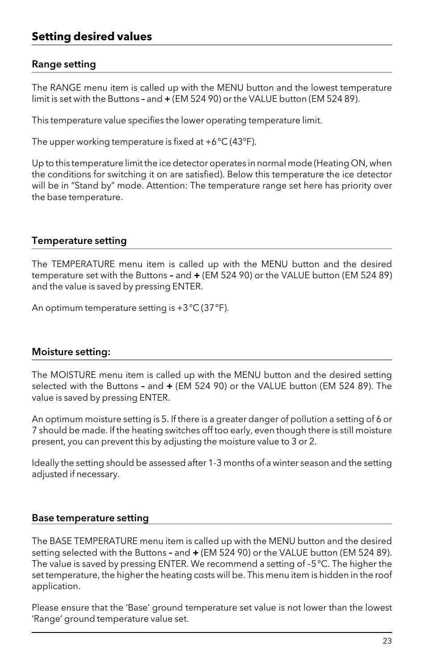# **Setting desired values**

#### Range setting

The RANGE menu item is called up with the MENU button and the lowest temperature limit is set with the Buttons - and + (EM 524 90) or the VALUE button (EM 524 89).

This temperature value specifies the lower operating temperature limit.

The upper working temperature is fixed at  $+6\,^{\circ}C(43\,^{\circ}F)$ .

Up to this temperature limit the ice detector operates in normal mode (Heating ON, when the conditions for switching it on are satisfied). Below this temperature the ice detector will be in "Stand by" mode. Attention: The temperature range set here has priority over the base temperature.

#### Temperature setting

The TEMPERATURE menu item is called up with the MENU button and the desired temperature set with the Buttons **–** and **+** (EM 524 90) or the VALUE button (EM 524 89) and the value is saved by pressing ENTER.

An optimum temperature setting is +3°C (37°F).

#### Moisture setting:

The MOISTURE menu item is called up with the MENU button and the desired setting selected with the Buttons **–** and **+** (EM 524 90) or the VALUE button (EM 524 89). The value is saved by pressing ENTER.

An optimum moisture setting is 5. If there is a greater danger of pollution a setting of 6 or 7 should be made. If the heating switches off too early, even though there is still moisture present, you can prevent this by adjusting the moisture value to 3 or 2.

Ideally the setting should be assessed after 1-3 months of a winter season and the setting adjusted if necessary.

#### Base temperature setting

The BASE TEMPERATURE menu item is called up with the MENU button and the desired setting selected with the Buttons **–** and **+** (EM 524 90) or the VALUE button (EM 524 89). The value is saved by pressing ENTER. We recommend a setting of –5°C. The higher the set temperature, the higher the heating costs will be. This menu item is hidden in the roof application.

Please ensure that the 'Base' ground temperature set value is not lower than the lowest 'Range' ground temperature value set.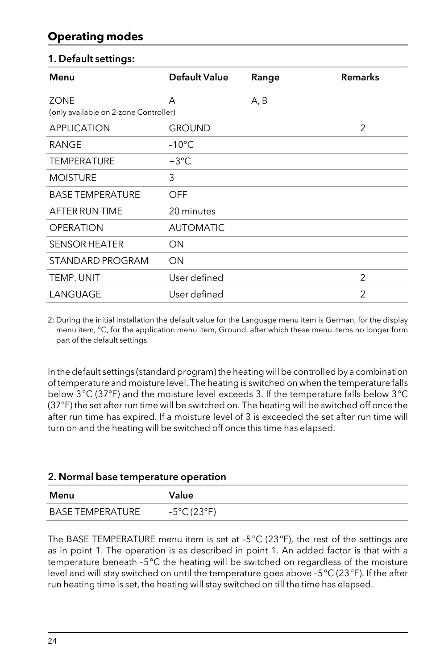# **Operating modes**

#### 1. Default settings:

| Menu                                                 | Default Value    | Range | Remarks        |
|------------------------------------------------------|------------------|-------|----------------|
| <b>ZONE</b><br>(only available on 2-zone Controller) | А                | A, B  |                |
| <b>APPLICATION</b>                                   | <b>GROUND</b>    |       | $\overline{2}$ |
| RANGE                                                | $-10^{\circ}$ C  |       |                |
| <b>TEMPERATURE</b>                                   | $+3^{\circ}$ C   |       |                |
| <b>MOISTURE</b>                                      | 3                |       |                |
| <b>BASE TEMPERATURE</b>                              | OFF              |       |                |
| AFTER RUN TIME                                       | 20 minutes       |       |                |
| <b>OPERATION</b>                                     | <b>AUTOMATIC</b> |       |                |
| <b>SENSOR HEATER</b>                                 | ON               |       |                |
| STANDARD PROGRAM                                     | <b>ON</b>        |       |                |
| TEMP. UNIT                                           | User defined     |       | $\overline{2}$ |
| LANGUAGE                                             | User defined     |       | $\mathfrak{p}$ |

2: During the initial installation the default value for the Language menu item is German, for the display menu item, °C, for the application menu item, Ground, after which these menu items no longer form part of the default settings.

In the default settings (standard program) the heating will be controlled by a combination of temperature and moisture level. The heating is switched on when the temperature falls below 3°C (37°F) and the moisture level exceeds 3. If the temperature falls below 3°C (37°F) the set after run time will be switched on. The heating will be switched off once the after run time has expired. If a moisture level of 3 is exceeded the set after run time will turn on and the heating will be switched off once this time has elapsed.

#### 2. Normal base temperature operation

| Menu             | Value       |
|------------------|-------------|
| BASE TEMPERATURE | -5°C (23°F) |

The BASE TEMPERATURE menu item is set at –5°C (23°F), the rest of the settings are as in point 1. The operation is as described in point 1. An added factor is that with a temperature beneath –5°C the heating will be switched on regardless of the moisture level and will stay switched on until the temperature goes above –5°C (23°F). If the after run heating time is set, the heating will stay switched on till the time has elapsed.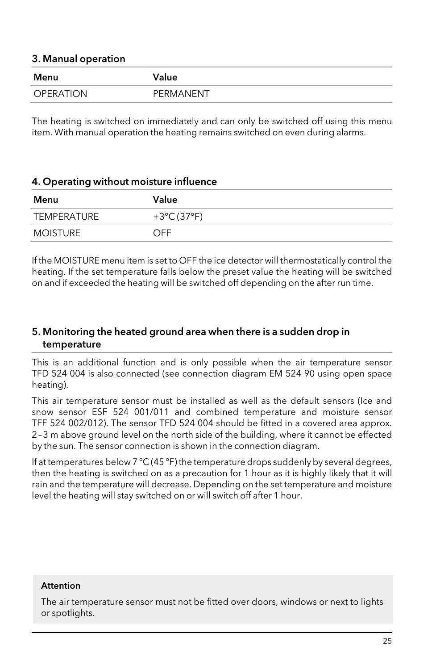#### 3. Manual operation

| Menu             | Value     |
|------------------|-----------|
| <b>OPERATION</b> | PERMANENT |

The heating is switched on immediately and can only be switched off using this menu item. With manual operation the heating remains switched on even during alarms.

#### 4. Operating without moisture influence

| Menu            | Value                      |
|-----------------|----------------------------|
| TEMPERATURE     | $+3^{\circ}C(37^{\circ}F)$ |
| <b>MOISTURE</b> | OFF.                       |

If the MOISTURE menu item is set to OFF the ice detector will thermostatically control the heating. If the set temperature falls below the preset value the heating will be switched on and if exceeded the heating will be switched off depending on the after run time.

#### 5. Monitoring the heated ground area when there is a sudden drop in temperature

This is an additional function and is only possible when the air temperature sensor TFD 524 004 is also connected (see connection diagram EM 524 90 using open space heating).

This air temperature sensor must be installed as well as the default sensors (Ice and snow sensor ESF 524 001/011 and combined temperature and moisture sensor TFF 524 002/012). The sensor TFD 524 004 should be fitted in a covered area approx. 2–3 m above ground level on the north side of the building, where it cannot be effected by the sun. The sensor connection is shown in the connection diagram.

If at temperatures below 7 °C (45 °F) the temperature drops suddenly by several degrees, then the heating is switched on as a precaution for 1 hour as it is highly likely that it will rain and the temperature will decrease. Depending on the set temperature and moisture level the heating will stay switched on or will switch off after 1 hour.

#### **Attention**

The air temperature sensor must not be fitted over doors, windows or next to lights or spotlights.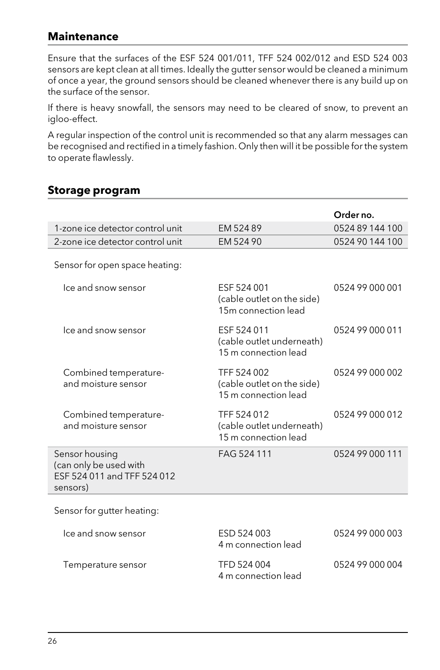# **Maintenance**

Ensure that the surfaces of the ESF 524 001/011, TFF 524 002/012 and ESD 524 003 sensors are kept clean at all times. Ideally the gutter sensor would be cleaned a minimum of once a year, the ground sensors should be cleaned whenever there is any build up on the surface of the sensor.

If there is heavy snowfall, the sensors may need to be cleared of snow, to prevent an igloo-effect.

A regular inspection of the control unit is recommended so that any alarm messages can be recognised and rectified in a timely fashion. Only then will it be possible for the system to operate flawlessly.

### **Storage program**

|                                                                                     |                                                                   | Order no.       |
|-------------------------------------------------------------------------------------|-------------------------------------------------------------------|-----------------|
| 1-zone ice detector control unit                                                    | EM 52489                                                          | 0524 89 144 100 |
| 2-zone ice detector control unit                                                    | EM 524 90                                                         | 0524 90 144 100 |
| Sensor for open space heating:                                                      |                                                                   |                 |
| Ice and snow sensor                                                                 | ESF 524 001<br>(cable outlet on the side)<br>15m connection lead  | 0524 99 000 001 |
| Ice and snow sensor                                                                 | ESF 524 011<br>(cable outlet underneath)<br>15 m connection lead  | 0524 99 000 011 |
| Combined temperature-<br>and moisture sensor                                        | TFF 524 002<br>(cable outlet on the side)<br>15 m connection lead | 0524 99 000 002 |
| Combined temperature-<br>and moisture sensor                                        | TFF 524 012<br>(cable outlet underneath)<br>15 m connection lead  | 0524 99 000 012 |
| Sensor housing<br>(can only be used with<br>ESF 524 011 and TFF 524 012<br>sensors) | FAG 524 111                                                       | 0524 99 000 111 |
| Sensor for gutter heating:                                                          |                                                                   |                 |
| Ice and snow sensor                                                                 | ESD 524 003<br>4 m connection lead                                | 0524 99 000 003 |
| Temperature sensor                                                                  | TFD 524 004<br>4 m connection lead                                | 0524 99 000 004 |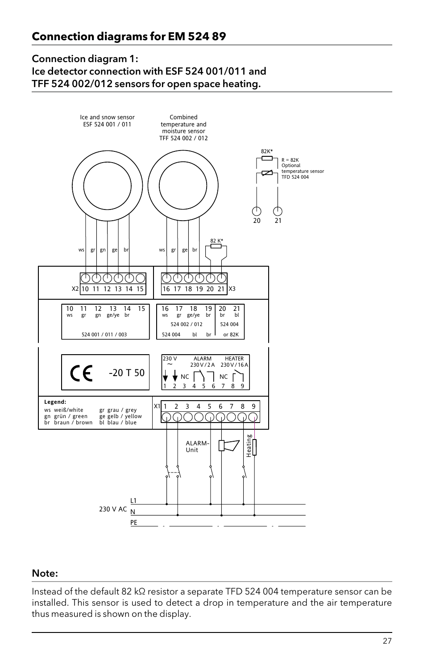# Connection diagram 1: Ice detector connection with ESF 524 001/011 and TFF 524 002/012 sensors for open space heating.



#### Note:

Instead of the default 82 kΩ resistor a separate TFD 524 004 temperature sensor can be installed. This sensor is used to detect a drop in temperature and the air temperature thus measured is shown on the display.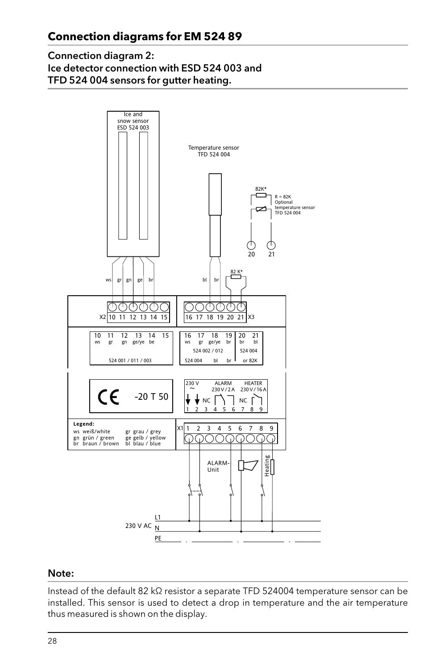#### Connection diagram 2: Ice detector connection with ESD 524 003 and TFD 524 004 sensors for gutter heating.



#### Note:

Instead of the default 82 kΩ resistor a separate TFD 524004 temperature sensor can be installed. This sensor is used to detect a drop in temperature and the air temperature thus measured is shown on the display.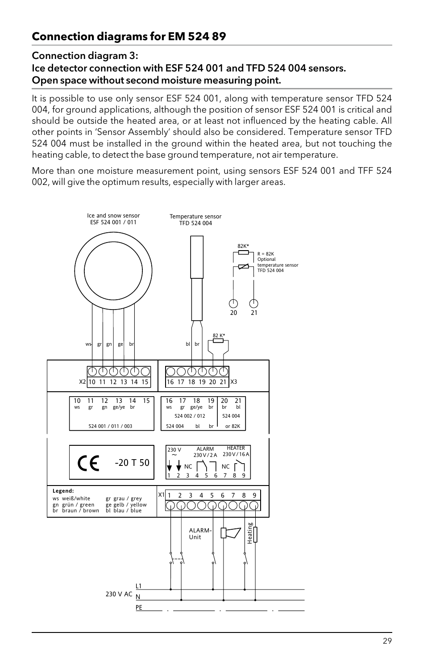#### Connection diagram 3: Ice detector connection with ESF 524 001 and TFD 524 004 sensors. Open space without second moisture measuring point.

It is possible to use only sensor ESF 524 001, along with temperature sensor TFD 524 004, for ground applications, although the position of sensor ESF 524 001 is critical and should be outside the heated area, or at least not influenced by the heating cable. All other points in 'Sensor Assembly' should also be considered. Temperature sensor TFD other points in 'Sensor Assembly' should also be considered. Temperature sensor TFD 524 004 must be installed in the ground within the heated area, but not touching the heating cable, to detect the base ground temperature, not air temperature.

More than one moisture measurement point, using sensors ESF 524 001 and TFF 524 002, will give the optimum results, especially with larger areas.

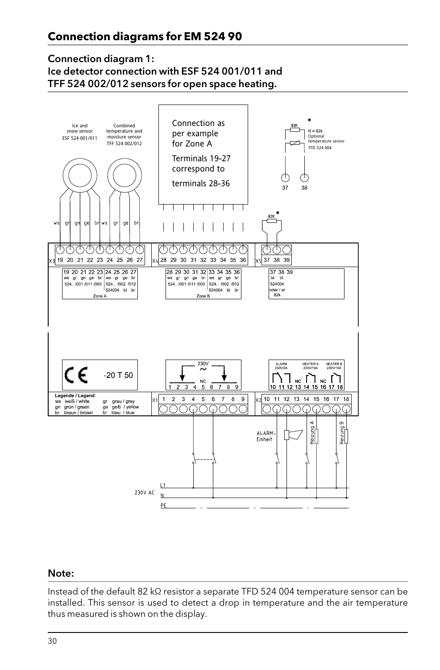# Connection diagram 1:

Ice detector connection with ESF 524 001/011 and TFF 524 002/012 sensors for open space heating.



#### Note:

Instead of the default 82 kΩ resistor a separate TFD 524 004 temperature sensor can be installed. This sensor is used to detect a drop in temperature and the air temperature thus measured is shown on the display.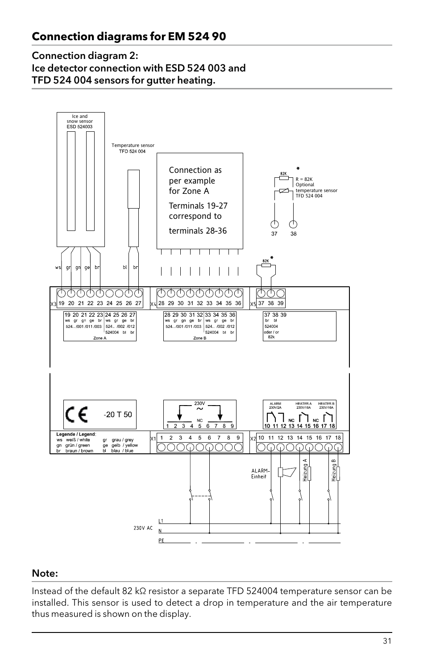#### Connection diagram 2: Ice detector connection with ESD 524 003 and TFD 524 004 sensors for gutter heating.



#### Note:

Instead of the default 82 kΩ resistor a separate TFD 524004 temperature sensor can be installed. This sensor is used to detect a drop in temperature and the air temperature thus measured is shown on the display.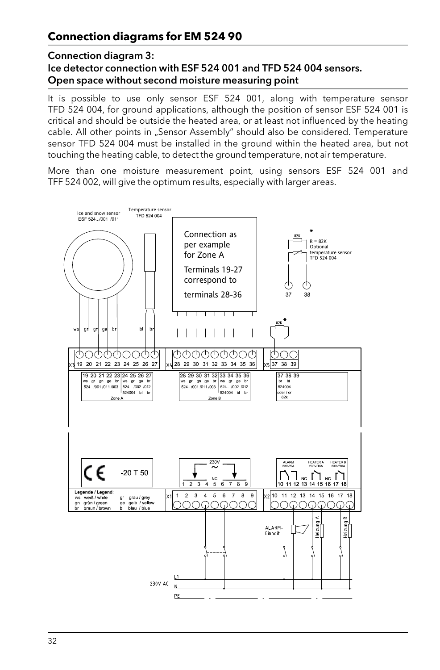#### Connection diagram 3:

#### Ice detector connection with ESF 524 001 and TFD 524 004 sensors. Open space without second moisture measuring point

It is possible to use only sensor ESF 524 001, along with temperature sensor TFD 524 004, for ground applications, although the position of sensor ESF 524 001 is critical and should be outside the heated area, or at least not influenced by the heating cable. All other points in "Sensor Assembly" should also be considered. Temperature sensor TFD 524 004 must be installed in the ground within the heated area, but not touching the heating cable, to detect the ground temperature, not air temperature.

More than one moisture measurement point, using sensors ESF 524 001 and TFF 524 002, will give the optimum results, especially with larger areas.

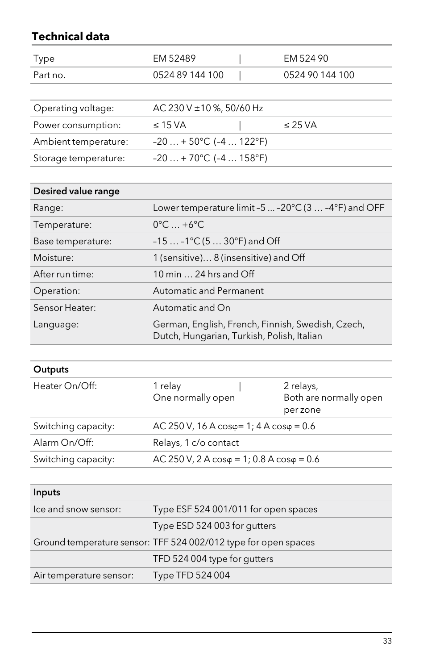# **Technical data**

| Type     | EM 52489        | EM 524 90       |
|----------|-----------------|-----------------|
| Part no. | 0524 89 144 100 | 0524 90 144 100 |

| Operating voltage:   | AC 230 V $\pm$ 10 %, 50/60 Hz    |              |
|----------------------|----------------------------------|--------------|
| Power consumption:   | $\leq$ 15 VA                     | $\leq$ 25 VA |
| Ambient temperature: | $-20 + 50^{\circ}$ C (-4  122°F) |              |
| Storage temperature: | $-20 + 70^{\circ}$ C (-4  158°F) |              |

| Desired value range |                                                                                                 |
|---------------------|-------------------------------------------------------------------------------------------------|
| Range:              | Lower temperature limit -5 $\dots$ -20 $^{\circ}$ C (3 $\dots$ -4 $^{\circ}$ F) and OFF         |
| Temperature:        | $0^{\circ}$ C  +6 $^{\circ}$ C                                                                  |
| Base temperature:   | $-15$ $-1^{\circ}C(530^{\circ}F)$ and Off                                                       |
| Moisture:           | 1 (sensitive) 8 (insensitive) and Off                                                           |
| After run time:     | 10 min $\ldots$ 24 hrs and Off                                                                  |
| Operation:          | Automatic and Permanent                                                                         |
| Sensor Heater:      | Automatic and On                                                                                |
| Language:           | German, English, French, Finnish, Swedish, Czech,<br>Dutch, Hungarian, Turkish, Polish, Italian |

| Outputs             |                                                                |                                                 |
|---------------------|----------------------------------------------------------------|-------------------------------------------------|
| Heater On/Off:      | 1 relay<br>One normally open                                   | 2 relays,<br>Both are normally open<br>per zone |
| Switching capacity: | $AC 250 V$ , 16 A $cos\varphi = 1$ ; 4 A $cos\varphi = 0.6$    |                                                 |
| Alarm On/Off:       | Relays, 1 c/o contact                                          |                                                 |
| Switching capacity: | $AC 250 V$ , $2 A cos \varphi = 1$ ; $0.8 A cos \varphi = 0.6$ |                                                 |

| Inputs                  |                                                                 |
|-------------------------|-----------------------------------------------------------------|
| Ice and snow sensor:    | Type ESF 524 001/011 for open spaces                            |
|                         | Type ESD 524 003 for gutters                                    |
|                         | Ground temperature sensor: TFF 524 002/012 type for open spaces |
|                         | TFD 524 004 type for gutters                                    |
| Air temperature sensor: | Type TFD 524 004                                                |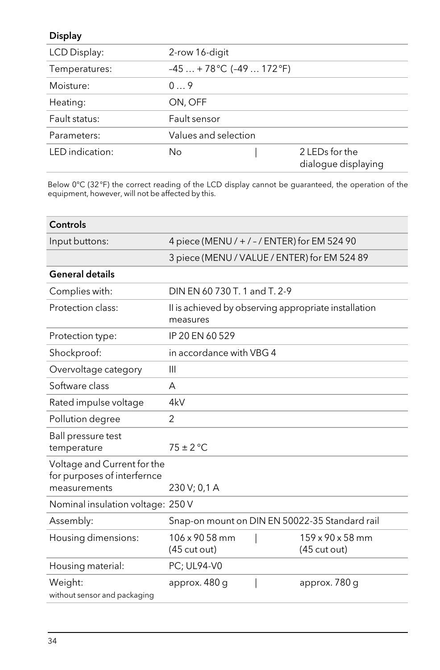#### Display

| LCD Display:    | 2-row 16-digit |                             |                                       |
|-----------------|----------------|-----------------------------|---------------------------------------|
| Temperatures:   |                | $-45 + 78$ °C (-49  172 °F) |                                       |
| Moisture:       | $0 \sqrt{9}$   |                             |                                       |
| Heating:        | ON, OFF        |                             |                                       |
| Fault status:   | Fault sensor   |                             |                                       |
| Parameters:     |                | Values and selection        |                                       |
| LED indication: | No             |                             | 2 LEDs for the<br>dialoque displaying |

Below 0°C (32°F) the correct reading of the LCD display cannot be guaranteed, the operation of the equipment, however, will not be affected by this.

| Controls                                                                   |                                                                  |  |                                                        |
|----------------------------------------------------------------------------|------------------------------------------------------------------|--|--------------------------------------------------------|
| Input buttons:                                                             | 4 piece (MENU / + / - / ENTER) for EM 524 90                     |  |                                                        |
|                                                                            | 3 piece (MENU / VALUE / ENTER) for EM 524 89                     |  |                                                        |
| <b>General details</b>                                                     |                                                                  |  |                                                        |
| Complies with:                                                             | DIN FN 60 730 T. 1 and T. 2-9                                    |  |                                                        |
| Protection class:                                                          | Il is achieved by observing appropriate installation<br>measures |  |                                                        |
| Protection type:                                                           | IP 20 EN 60 529                                                  |  |                                                        |
| Shockproof:                                                                | in accordance with VBG 4                                         |  |                                                        |
| Overvoltage category                                                       | Ш                                                                |  |                                                        |
| Software class                                                             | А                                                                |  |                                                        |
| Rated impulse voltage                                                      | 4kV                                                              |  |                                                        |
| Pollution degree                                                           | $\mathfrak{p}$                                                   |  |                                                        |
| Ball pressure test<br>temperature                                          | $75 \pm 2$ °C                                                    |  |                                                        |
| Voltage and Current for the<br>for purposes of interfernce<br>measurements | 230 V; 0,1 A                                                     |  |                                                        |
| Nominal insulation voltage: 250 V                                          |                                                                  |  |                                                        |
| Assembly:                                                                  |                                                                  |  | Snap-on mount on DIN EN 50022-35 Standard rail         |
| Housing dimensions:                                                        | 106 x 90 58 mm<br>$(45 \text{ cut out})$                         |  | $159 \times 90 \times 58$ mm<br>$(45 \text{ cut out})$ |
| Housing material:                                                          | PC; UL94-V0                                                      |  |                                                        |
| Weight:<br>without sensor and packaging                                    | approx. 480 q                                                    |  | approx. 780 g                                          |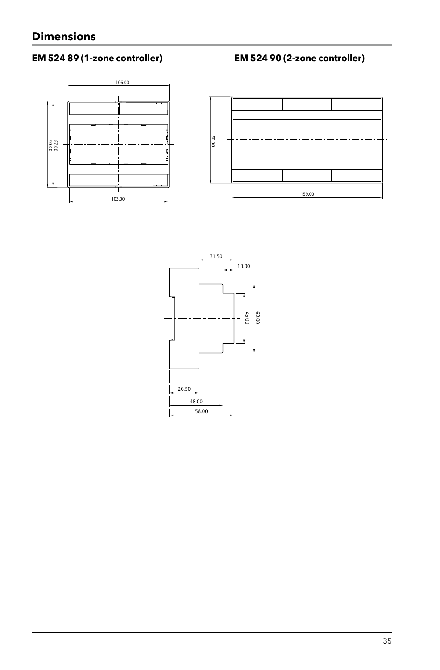# **EM 524 89 (1-zone controller) EM 524 90 (2-zone controller)**





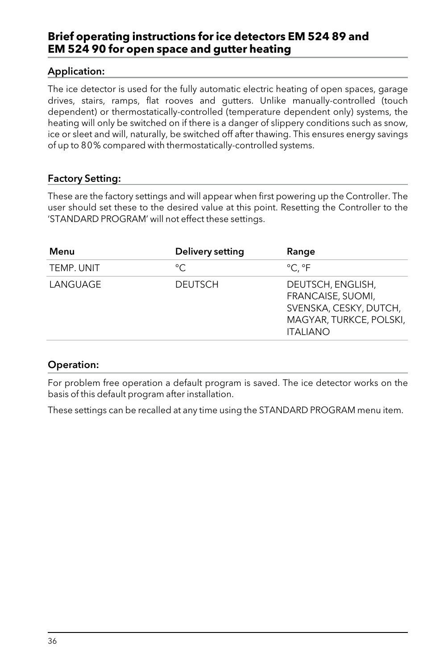### **Brief operating instructions for ice detectors EM 524 89 and EM 524 90 for open space and gutter heating**

#### Application:

The ice detector is used for the fully automatic electric heating of open spaces, garage drives, stairs, ramps, flat rooves and gutters. Unlike manually-controlled (touch dependent) or thermostatically-controlled (temperature dependent only) systems, the heating will only be switched on if there is a danger of slippery conditions such as snow, ice or sleet and will, naturally, be switched off after thawing. This ensures energy savings of up to 80% compared with thermostatically-controlled systems.

#### Factory Setting:

These are the factory settings and will appear when first powering up the Controller. The user should set these to the desired value at this point. Resetting the Controller to the 'STANDARD PROGRAM' will not effect these settings.

| Menu       | Delivery setting | Range                                                                                                          |
|------------|------------------|----------------------------------------------------------------------------------------------------------------|
| TEMP. UNIT | °C               | $^{\circ}$ C. $^{\circ}$ F                                                                                     |
| LANGUAGE   | <b>DEUTSCH</b>   | DEUTSCH, ENGLISH,<br>FRANCAISE, SUOMI,<br>SVENSKA, CESKY, DUTCH,<br>MAGYAR, TURKCE, POLSKI,<br><b>ITALIANO</b> |

#### Operation:

For problem free operation a default program is saved. The ice detector works on the basis of this default program after installation.

These settings can be recalled at any time using the STANDARD PROGRAM menu item.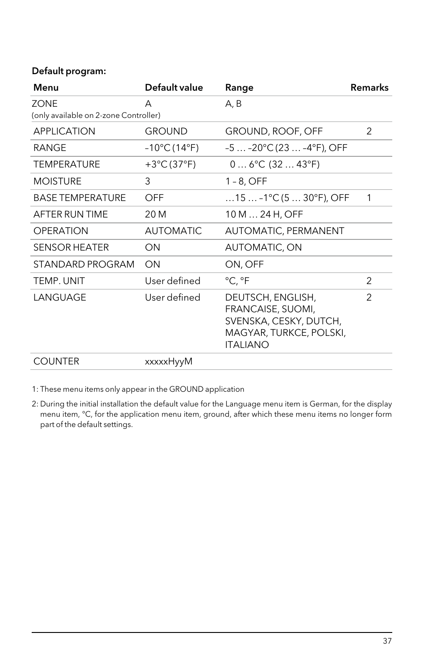#### Default program:

| Menu                                  | Default value                     | Range                                                                                                          | Remarks        |
|---------------------------------------|-----------------------------------|----------------------------------------------------------------------------------------------------------------|----------------|
| ZONE                                  | А                                 | A, B                                                                                                           |                |
| (only available on 2-zone Controller) |                                   |                                                                                                                |                |
| <b>APPLICATION</b>                    | <b>GROUND</b>                     | <b>GROUND, ROOF, OFF</b>                                                                                       | $\overline{2}$ |
| RANGE                                 | $-10^{\circ}$ C (14 $^{\circ}$ F) | $-5 -20$ °C (23 $ -4$ °F), OFF                                                                                 |                |
| <b>TEMPERATURE</b>                    | $+3^{\circ}C(37^{\circ}F)$        | $06$ °C (32 $$ 43°F)                                                                                           |                |
| <b>MOISTURE</b>                       | 3                                 | $1 - 8$ , OFF                                                                                                  |                |
| <b>BASE TEMPERATURE</b>               | OFF                               | 15  –1℃ (5  30°F), OFF                                                                                         | $\mathbf{1}$   |
| AFTER RUN TIME                        | 20 M                              | 10 M  24 H, OFF                                                                                                |                |
| OPERATION                             | <b>AUTOMATIC</b>                  | AUTOMATIC, PERMANENT                                                                                           |                |
| <b>SENSOR HEATER</b>                  | ON                                | AUTOMATIC, ON                                                                                                  |                |
| STANDARD PROGRAM                      | <b>ON</b>                         | ON, OFF                                                                                                        |                |
| TEMP. UNIT                            | User defined                      | °C, °F                                                                                                         | $\mathfrak{D}$ |
| LANGUAGE                              | User defined                      | DEUTSCH, ENGLISH,<br>FRANCAISE, SUOMI,<br>SVENSKA, CESKY, DUTCH,<br>MAGYAR, TURKCE, POLSKI,<br><b>ITALIANO</b> | $\overline{2}$ |
| <b>COUNTER</b>                        | xxxxxHyyM                         |                                                                                                                |                |

1: These menu items only appear in the GROUND application

2: During the initial installation the default value for the Language menu item is German, for the display menu item, °C, for the application menu item, ground, after which these menu items no longer form part of the default settings.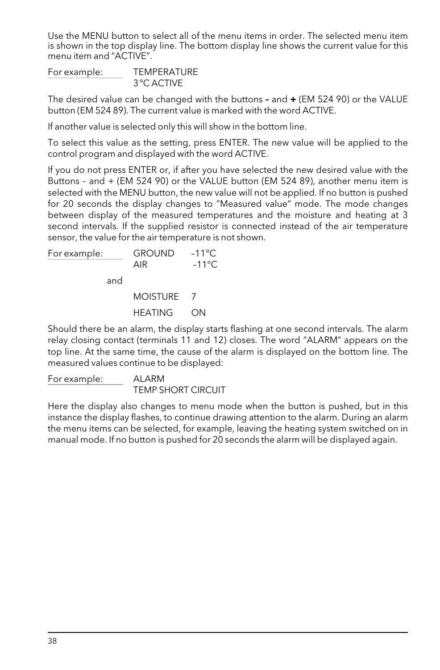Use the MENU button to select all of the menu items in order. The selected menu item is shown in the top display line. The bottom display line shows the current value for this menu item and "ACTIVE".

| For example: | <b>TEMPERATURE</b> |
|--------------|--------------------|
|              | 3°C ACTIVE         |

The desired value can be changed with the buttons **–** and **+** (EM 524 90) or the VALUE button (EM 524 89). The current value is marked with the word ACTIVE.

If another value is selected only this will show in the bottom line.

To select this value as the setting, press ENTER. The new value will be applied to the control program and displayed with the word ACTIVE.

If you do not press ENTER or, if after you have selected the new desired value with the Buttons – and + (EM 524 90) or the VALUE button (EM 524 89), another menu item is selected with the MENU button, the new value will not be applied. If no button is pushed for 20 seconds the display changes to "Measured value" mode. The mode changes between display of the measured temperatures and the moisture and heating at 3 second intervals. If the supplied resistor is connected instead of the air temperature sensor, the value for the air temperature is not shown.

For example: GROUND -11°C  $AIR$   $-11^{\circ}C$ and MOISTURE 7 HEATING ON

Should there be an alarm, the display starts flashing at one second intervals. The alarm relay closing contact (terminals 11 and 12) closes. The word "ALARM" appears on the top line. At the same time, the cause of the alarm is displayed on the bottom line. The measured values continue to be displayed:

For example: ALARM TEMP SHORT CIRCUIT

Here the display also changes to menu mode when the button is pushed, but in this instance the display flashes, to continue drawing attention to the alarm. During an alarm the menu items can be selected, for example, leaving the heating system switched on in manual mode. If no button is pushed for 20 seconds the alarm will be displayed again.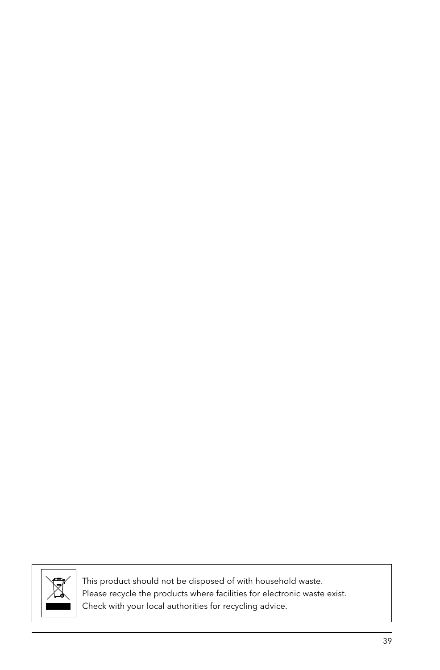

This product should not be disposed of with household waste. Please recycle the products where facilities for electronic waste exist. Check with your local authorities for recycling advice.